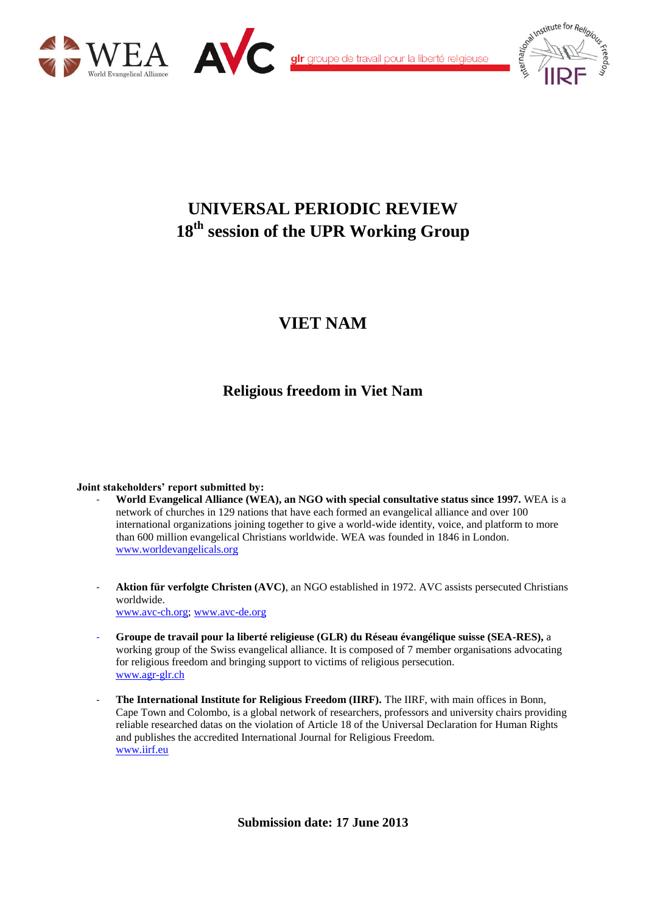



alr groupe de travail pour la liberté religieuse



# **UNIVERSAL PERIODIC REVIEW 18th session of the UPR Working Group**

# **VIET NAM**

## **Religious freedom in Viet Nam**

#### **Joint stakeholders' report submitted by:**

- **World Evangelical Alliance (WEA), an NGO with special consultative status since 1997.** WEA is a network of churches in 129 nations that have each formed an evangelical alliance and over 100 international organizations joining together to give a world-wide identity, voice, and platform to more than 600 million evangelical Christians worldwide. WEA was founded in 1846 in London. [www.worldevangelicals.org](http://www.worldevangelicals.org/)
- **Aktion für verfolgte Christen (AVC)**, an NGO established in 1972. AVC assists persecuted Christians worldwide. [www.avc-ch.org;](http://www.avc-ch.org/) [www.avc-de.org](http://www.avc-de.org/)
- **Groupe de travail pour la liberté religieuse (GLR) du Réseau évangélique suisse (SEA-RES),** a working group of the Swiss evangelical alliance. It is composed of 7 member organisations advocating for religious freedom and bringing support to victims of religious persecution. [www.agr-glr.ch](http://www.agr-glr.ch/)
- **The International Institute for Religious Freedom (IIRF).** The IIRF, with main offices in Bonn, Cape Town and Colombo, is a global network of researchers, professors and university chairs providing reliable researched datas on the violation of Article 18 of the Universal Declaration for Human Rights and publishes the accredited International Journal for Religious Freedom. [www.iirf.eu](http://www.iirf.eu/)

**Submission date: 17 June 2013**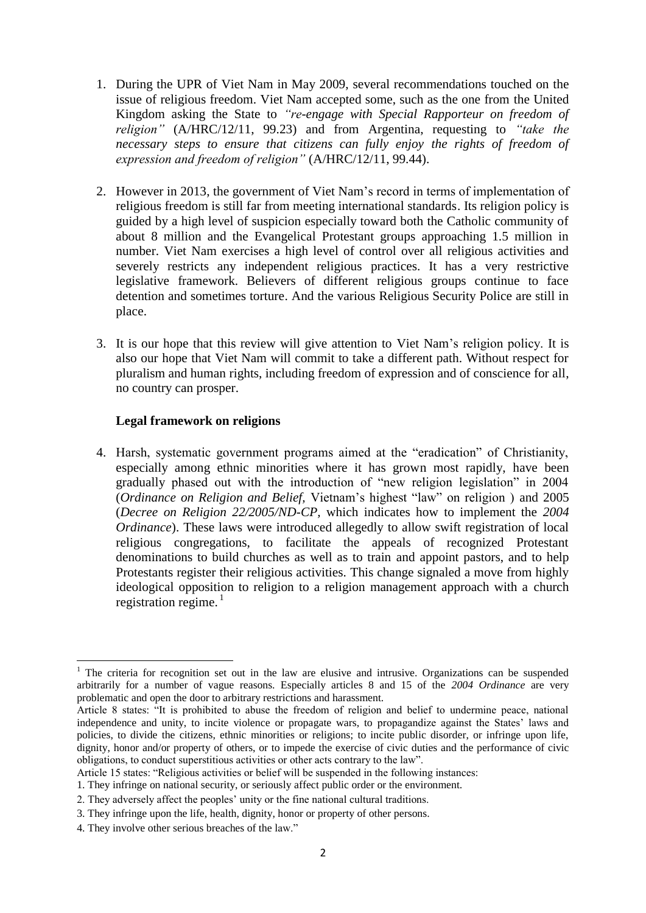- 1. During the UPR of Viet Nam in May 2009, several recommendations touched on the issue of religious freedom. Viet Nam accepted some, such as the one from the United Kingdom asking the State to *"re-engage with Special Rapporteur on freedom of religion"* (A/HRC/12/11, 99.23) and from Argentina, requesting to *"take the necessary steps to ensure that citizens can fully enjoy the rights of freedom of expression and freedom of religion"* (A/HRC/12/11, 99.44).
- 2. However in 2013, the government of Viet Nam's record in terms of implementation of religious freedom is still far from meeting international standards. Its religion policy is guided by a high level of suspicion especially toward both the Catholic community of about 8 million and the Evangelical Protestant groups approaching 1.5 million in number. Viet Nam exercises a high level of control over all religious activities and severely restricts any independent religious practices. It has a very restrictive legislative framework. Believers of different religious groups continue to face detention and sometimes torture. And the various Religious Security Police are still in place.
- 3. It is our hope that this review will give attention to Viet Nam's religion policy. It is also our hope that Viet Nam will commit to take a different path. Without respect for pluralism and human rights, including freedom of expression and of conscience for all, no country can prosper.

## **Legal framework on religions**

4. Harsh, systematic government programs aimed at the "eradication" of Christianity, especially among ethnic minorities where it has grown most rapidly, have been gradually phased out with the introduction of "new religion legislation" in 2004 (*Ordinance on Religion and Belief,* Vietnam's highest "law" on religion ) and 2005 (*Decree on Religion 22/2005/ND-CP,* which indicates how to implement the *2004 Ordinance*). These laws were introduced allegedly to allow swift registration of local religious congregations, to facilitate the appeals of recognized Protestant denominations to build churches as well as to train and appoint pastors, and to help Protestants register their religious activities. This change signaled a move from highly ideological opposition to religion to a religion management approach with a church registration regime. $<sup>1</sup>$ </sup>

1

<sup>&</sup>lt;sup>1</sup> The criteria for recognition set out in the law are elusive and intrusive. Organizations can be suspended arbitrarily for a number of vague reasons. Especially articles 8 and 15 of the *2004 Ordinance* are very problematic and open the door to arbitrary restrictions and harassment.

Article 8 states: "It is prohibited to abuse the freedom of religion and belief to undermine peace, national independence and unity, to incite violence or propagate wars, to propagandize against the States' laws and policies, to divide the citizens, ethnic minorities or religions; to incite public disorder, or infringe upon life, dignity, honor and/or property of others, or to impede the exercise of civic duties and the performance of civic obligations, to conduct superstitious activities or other acts contrary to the law".

Article 15 states: "Religious activities or belief will be suspended in the following instances:

<sup>1.</sup> They infringe on national security, or seriously affect public order or the environment.

<sup>2.</sup> They adversely affect the peoples' unity or the fine national cultural traditions.

<sup>3.</sup> They infringe upon the life, health, dignity, honor or property of other persons.

<sup>4.</sup> They involve other serious breaches of the law."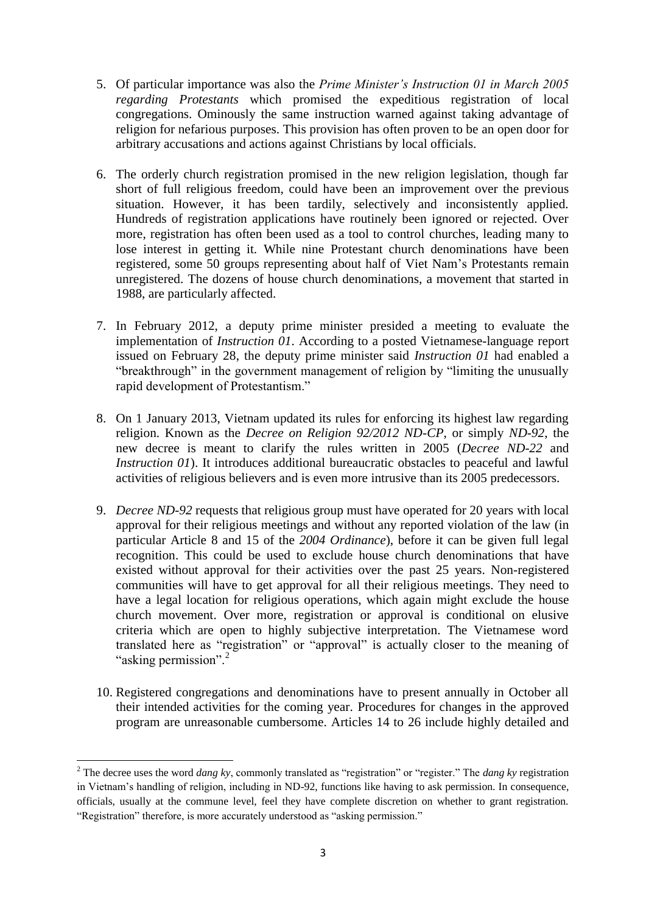- 5. Of particular importance was also the *Prime Minister's Instruction 01 in March 2005 regarding Protestants* which promised the expeditious registration of local congregations. Ominously the same instruction warned against taking advantage of religion for nefarious purposes. This provision has often proven to be an open door for arbitrary accusations and actions against Christians by local officials.
- 6. The orderly church registration promised in the new religion legislation, though far short of full religious freedom, could have been an improvement over the previous situation. However, it has been tardily, selectively and inconsistently applied. Hundreds of registration applications have routinely been ignored or rejected. Over more, registration has often been used as a tool to control churches, leading many to lose interest in getting it. While nine Protestant church denominations have been registered, some 50 groups representing about half of Viet Nam's Protestants remain unregistered. The dozens of house church denominations, a movement that started in 1988, are particularly affected.
- 7. In February 2012, a deputy prime minister presided a meeting to evaluate the implementation of *Instruction 01*. According to a posted Vietnamese-language report issued on February 28, the deputy prime minister said *Instruction 01* had enabled a "breakthrough" in the government management of religion by "limiting the unusually rapid development of Protestantism."
- 8. On 1 January 2013, Vietnam updated its rules for enforcing its highest law regarding religion. Known as the *Decree on Religion 92/2012 ND-CP*, or simply *ND-92*, the new decree is meant to clarify the rules written in 2005 (*Decree ND-22* and *Instruction 01*). It introduces additional bureaucratic obstacles to peaceful and lawful activities of religious believers and is even more intrusive than its 2005 predecessors.
- 9. *Decree ND-92* requests that religious group must have operated for 20 years with local approval for their religious meetings and without any reported violation of the law (in particular Article 8 and 15 of the *2004 Ordinance*), before it can be given full legal recognition. This could be used to exclude house church denominations that have existed without approval for their activities over the past 25 years. Non-registered communities will have to get approval for all their religious meetings. They need to have a legal location for religious operations, which again might exclude the house church movement. Over more, registration or approval is conditional on elusive criteria which are open to highly subjective interpretation. The Vietnamese word translated here as "registration" or "approval" is actually closer to the meaning of "asking permission".<sup>2</sup>
- 10. Registered congregations and denominations have to present annually in October all their intended activities for the coming year. Procedures for changes in the approved program are unreasonable cumbersome. Articles 14 to 26 include highly detailed and

<sup>.</sup> <sup>2</sup> The decree uses the word *dang ky*, commonly translated as "registration" or "register." The *dang ky* registration in Vietnam's handling of religion, including in ND-92, functions like having to ask permission. In consequence, officials, usually at the commune level, feel they have complete discretion on whether to grant registration. "Registration" therefore, is more accurately understood as "asking permission."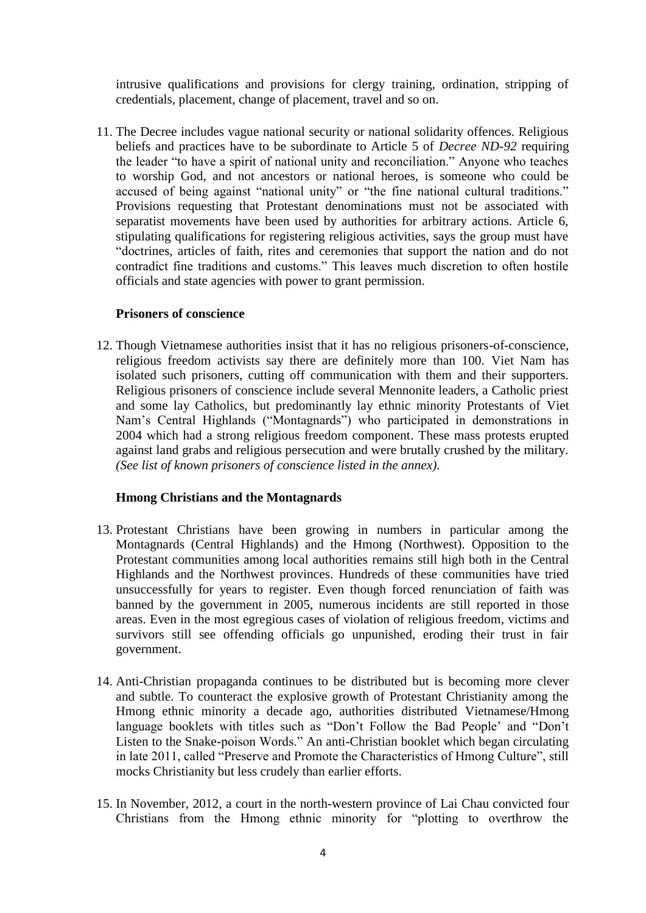intrusive qualifications and provisions for clergy training, ordination, stripping of credentials, placement, change of placement, travel and so on.

11. The Decree includes vague national security or national solidarity offences. Religious beliefs and practices have to be subordinate to Article 5 of *Decree ND-92* requiring the leader "to have a spirit of national unity and reconciliation." Anyone who teaches to worship God, and not ancestors or national heroes, is someone who could be accused of being against "national unity" or "the fine national cultural traditions." Provisions requesting that Protestant denominations must not be associated with separatist movements have been used by authorities for arbitrary actions. Article 6, stipulating qualifications for registering religious activities, says the group must have "doctrines, articles of faith, rites and ceremonies that support the nation and do not contradict fine traditions and customs." This leaves much discretion to often hostile officials and state agencies with power to grant permission.

#### **Prisoners of conscience**

12. Though Vietnamese authorities insist that it has no religious prisoners-of-conscience, religious freedom activists say there are definitely more than 100. Viet Nam has isolated such prisoners, cutting off communication with them and their supporters. Religious prisoners of conscience include several Mennonite leaders, a Catholic priest and some lay Catholics, but predominantly lay ethnic minority Protestants of Viet Nam's Central Highlands ("Montagnards") who participated in demonstrations in 2004 which had a strong religious freedom component. These mass protests erupted against land grabs and religious persecution and were brutally crushed by the military. *(See list of known prisoners of conscience listed in the annex).*

#### **Hmong Christians and the Montagnards**

- 13. Protestant Christians have been growing in numbers in particular among the Montagnards (Central Highlands) and the Hmong (Northwest). Opposition to the Protestant communities among local authorities remains still high both in the Central Highlands and the Northwest provinces. Hundreds of these communities have tried unsuccessfully for years to register. Even though forced renunciation of faith was banned by the government in 2005, numerous incidents are still reported in those areas. Even in the most egregious cases of violation of religious freedom, victims and survivors still see offending officials go unpunished, eroding their trust in fair government.
- 14. Anti-Christian propaganda continues to be distributed but is becoming more clever and subtle. To counteract the explosive growth of Protestant Christianity among the Hmong ethnic minority a decade ago, authorities distributed Vietnamese/Hmong language booklets with titles such as "Don't Follow the Bad People' and "Don't Listen to the Snake-poison Words." An anti-Christian booklet which began circulating in late 2011, called "Preserve and Promote the Characteristics of Hmong Culture", still mocks Christianity but less crudely than earlier efforts.
- 15. In November, 2012, a court in the north-western province of Lai Chau convicted four Christians from the Hmong ethnic minority for "plotting to overthrow the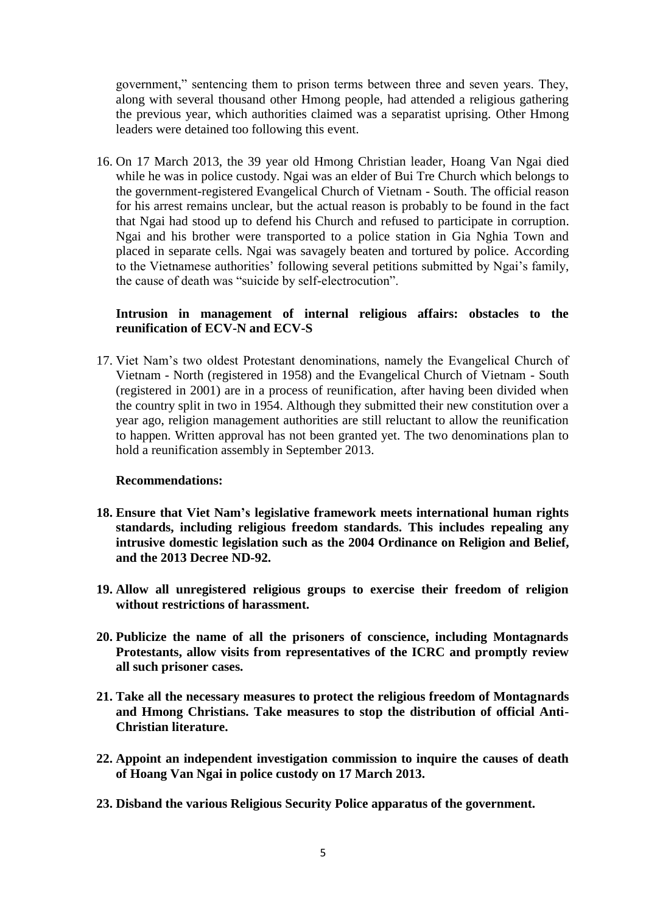government," sentencing them to prison terms between three and seven years. They, along with several thousand other Hmong people, had attended a religious gathering the previous year, which authorities claimed was a separatist uprising. Other Hmong leaders were detained too following this event.

16. On 17 March 2013, the 39 year old Hmong Christian leader, Hoang Van Ngai died while he was in police custody. Ngai was an elder of Bui Tre Church which belongs to the government-registered Evangelical Church of Vietnam - South. The official reason for his arrest remains unclear, but the actual reason is probably to be found in the fact that Ngai had stood up to defend his Church and refused to participate in corruption. Ngai and his brother were transported to a police station in Gia Nghia Town and placed in separate cells. Ngai was savagely beaten and tortured by police. According to the Vietnamese authorities' following several petitions submitted by Ngai's family, the cause of death was "suicide by self-electrocution".

## **Intrusion in management of internal religious affairs: obstacles to the reunification of ECV-N and ECV-S**

17. Viet Nam's two oldest Protestant denominations, namely the Evangelical Church of Vietnam - North (registered in 1958) and the Evangelical Church of Vietnam - South (registered in 2001) are in a process of reunification, after having been divided when the country split in two in 1954. Although they submitted their new constitution over a year ago, religion management authorities are still reluctant to allow the reunification to happen. Written approval has not been granted yet. The two denominations plan to hold a reunification assembly in September 2013.

#### **Recommendations:**

- **18. Ensure that Viet Nam's legislative framework meets international human rights standards, including religious freedom standards. This includes repealing any intrusive domestic legislation such as the 2004 Ordinance on Religion and Belief, and the 2013 Decree ND-92.**
- **19. Allow all unregistered religious groups to exercise their freedom of religion without restrictions of harassment.**
- **20. Publicize the name of all the prisoners of conscience, including Montagnards Protestants, allow visits from representatives of the ICRC and promptly review all such prisoner cases.**
- **21. Take all the necessary measures to protect the religious freedom of Montagnards and Hmong Christians. Take measures to stop the distribution of official Anti-Christian literature.**
- **22. Appoint an independent investigation commission to inquire the causes of death of Hoang Van Ngai in police custody on 17 March 2013.**
- **23. Disband the various Religious Security Police apparatus of the government.**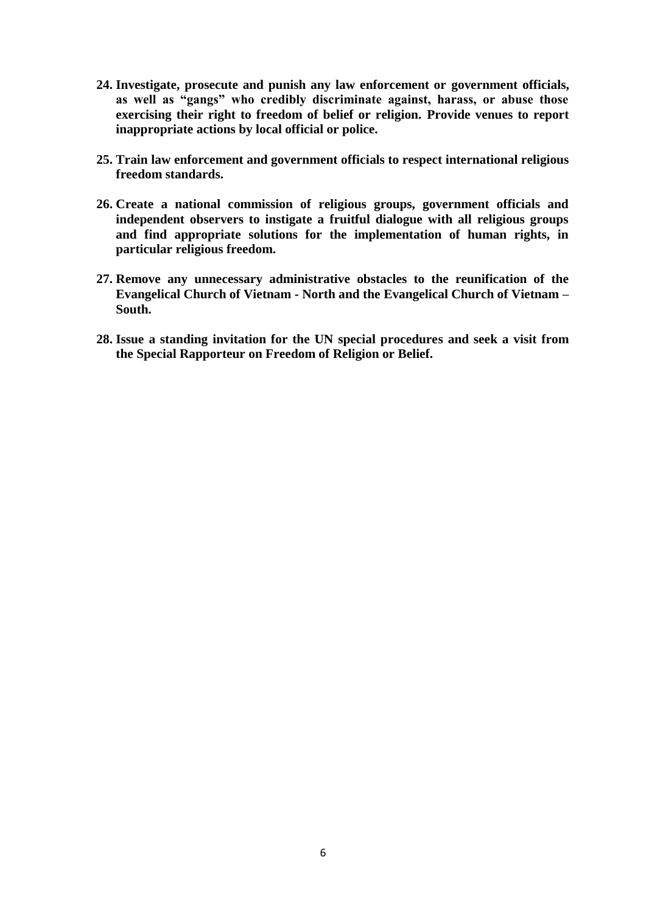- **24. Investigate, prosecute and punish any law enforcement or government officials, as well as "gangs" who credibly discriminate against, harass, or abuse those exercising their right to freedom of belief or religion. Provide venues to report inappropriate actions by local official or police.**
- **25. Train law enforcement and government officials to respect international religious freedom standards.**
- **26. Create a national commission of religious groups, government officials and independent observers to instigate a fruitful dialogue with all religious groups and find appropriate solutions for the implementation of human rights, in particular religious freedom.**
- **27. Remove any unnecessary administrative obstacles to the reunification of the Evangelical Church of Vietnam - North and the Evangelical Church of Vietnam – South.**
- **28. Issue a standing invitation for the UN special procedures and seek a visit from the Special Rapporteur on Freedom of Religion or Belief.**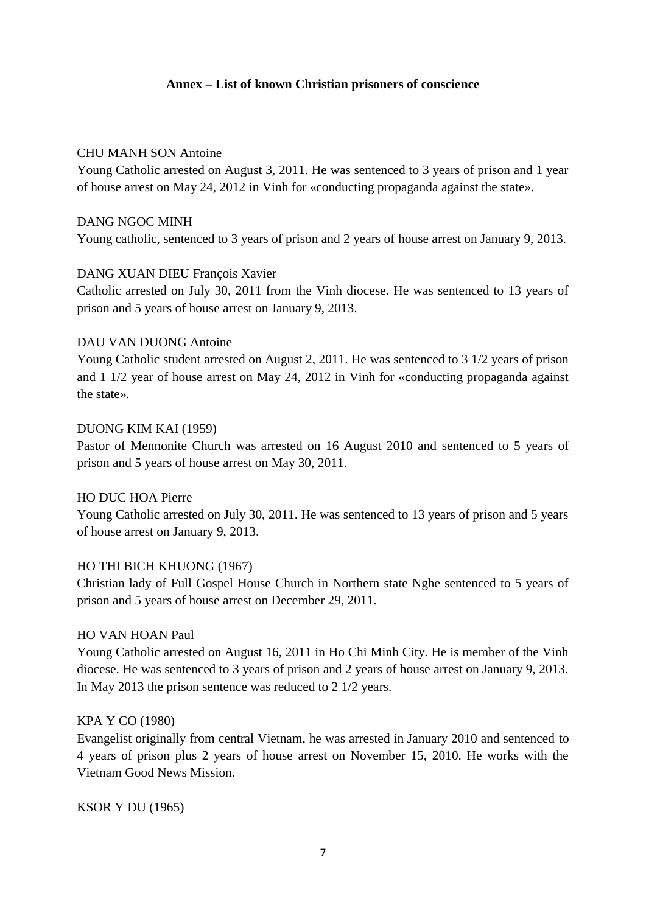## **Annex – List of known Christian prisoners of conscience**

#### CHU MANH SON Antoine

Young Catholic arrested on August 3, 2011. He was sentenced to 3 years of prison and 1 year of house arrest on May 24, 2012 in Vinh for «conducting propaganda against the state».

#### DANG NGOC MINH

Young catholic, sentenced to 3 years of prison and 2 years of house arrest on January 9, 2013.

#### DANG XUAN DIEU François Xavier

Catholic arrested on July 30, 2011 from the Vinh diocese. He was sentenced to 13 years of prison and 5 years of house arrest on January 9, 2013.

#### DAU VAN DUONG Antoine

Young Catholic student arrested on August 2, 2011. He was sentenced to 3 1/2 years of prison and 1 1/2 year of house arrest on May 24, 2012 in Vinh for «conducting propaganda against the state».

#### DUONG KIM KAI (1959)

Pastor of Mennonite Church was arrested on 16 August 2010 and sentenced to 5 years of prison and 5 years of house arrest on May 30, 2011.

#### HO DUC HOA Pierre

Young Catholic arrested on July 30, 2011. He was sentenced to 13 years of prison and 5 years of house arrest on January 9, 2013.

#### HO THI BICH KHUONG (1967)

Christian lady of Full Gospel House Church in Northern state Nghe sentenced to 5 years of prison and 5 years of house arrest on December 29, 2011.

#### HO VAN HOAN Paul

Young Catholic arrested on August 16, 2011 in Ho Chi Minh City. He is member of the Vinh diocese. He was sentenced to 3 years of prison and 2 years of house arrest on January 9, 2013. In May 2013 the prison sentence was reduced to 2 1/2 years.

#### KPA Y CO (1980)

Evangelist originally from central Vietnam, he was arrested in January 2010 and sentenced to 4 years of prison plus 2 years of house arrest on November 15, 2010. He works with the Vietnam Good News Mission.

KSOR Y DU (1965)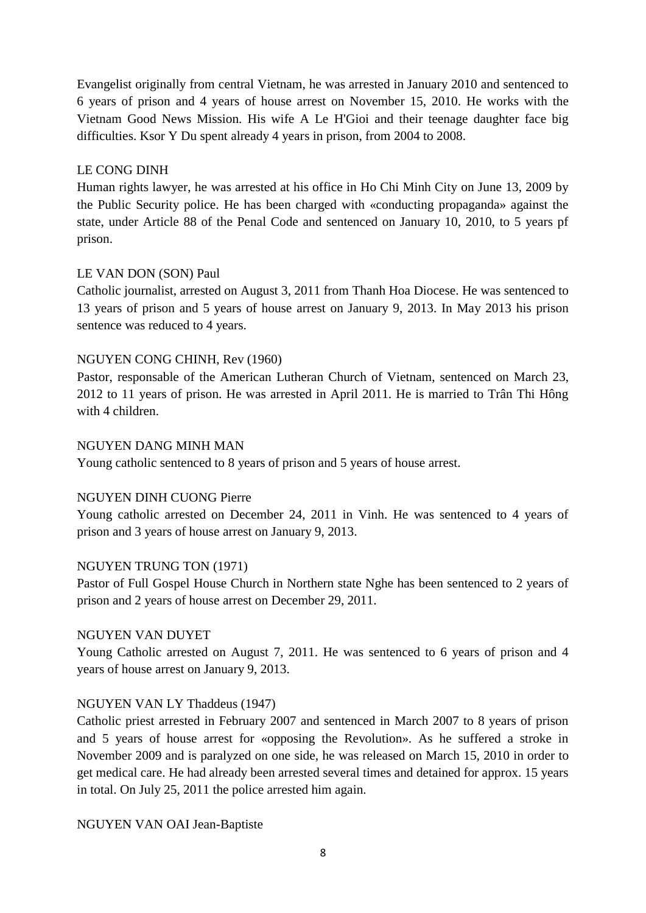Evangelist originally from central Vietnam, he was arrested in January 2010 and sentenced to 6 years of prison and 4 years of house arrest on November 15, 2010. He works with the Vietnam Good News Mission. His wife A Le H'Gioi and their teenage daughter face big difficulties. Ksor Y Du spent already 4 years in prison, from 2004 to 2008.

## LE CONG DINH

Human rights lawyer, he was arrested at his office in Ho Chi Minh City on June 13, 2009 by the Public Security police. He has been charged with «conducting propaganda» against the state, under Article 88 of the Penal Code and sentenced on January 10, 2010, to 5 years pf prison.

## LE VAN DON (SON) Paul

Catholic journalist, arrested on August 3, 2011 from Thanh Hoa Diocese. He was sentenced to 13 years of prison and 5 years of house arrest on January 9, 2013. In May 2013 his prison sentence was reduced to 4 years.

## NGUYEN CONG CHINH, Rev (1960)

Pastor, responsable of the American Lutheran Church of Vietnam, sentenced on March 23, 2012 to 11 years of prison. He was arrested in April 2011. He is married to Trân Thi Hông with 4 children.

## NGUYEN DANG MINH MAN

Young catholic sentenced to 8 years of prison and 5 years of house arrest.

## NGUYEN DINH CUONG Pierre

Young catholic arrested on December 24, 2011 in Vinh. He was sentenced to 4 years of prison and 3 years of house arrest on January 9, 2013.

## NGUYEN TRUNG TON (1971)

Pastor of Full Gospel House Church in Northern state Nghe has been sentenced to 2 years of prison and 2 years of house arrest on December 29, 2011.

## NGUYEN VAN DUYET

Young Catholic arrested on August 7, 2011. He was sentenced to 6 years of prison and 4 years of house arrest on January 9, 2013.

## NGUYEN VAN LY Thaddeus (1947)

Catholic priest arrested in February 2007 and sentenced in March 2007 to 8 years of prison and 5 years of house arrest for «opposing the Revolution». As he suffered a stroke in November 2009 and is paralyzed on one side, he was released on March 15, 2010 in order to get medical care. He had already been arrested several times and detained for approx. 15 years in total. On July 25, 2011 the police arrested him again.

## NGUYEN VAN OAI Jean-Baptiste